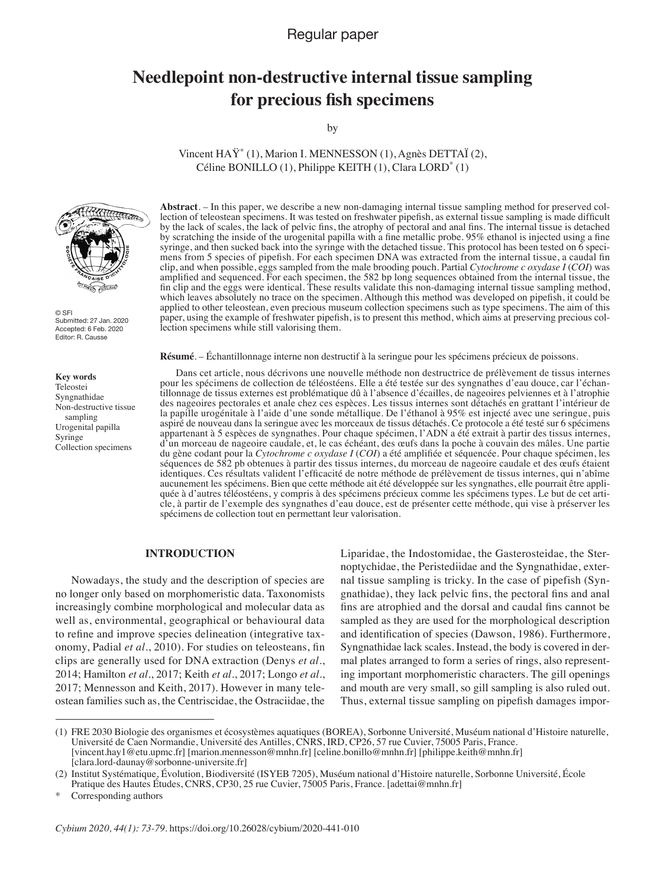## Regular paper

# **Needlepoint non-destructive internal tissue sampling for precious fish specimens**

by

Vincent HAŸ\* (1), Marion I. MENNESSON (1), Agnès DETTAÏ (2), Céline BONILLO  $(1)$ , Philippe KEITH  $(1)$ , Clara LORD $^*$   $(1)$ 



© SFI Submitted: 27 Jan. 2020 Accepted: 6 Feb. 2020 Editor: R. Causse

#### **Key words**

Teleostei Syngnathidae Non-destructive tissue sampling Urogenital papilla Syringe Collection specimens

**Abstract**. – In this paper, we describe a new non-damaging internal tissue sampling method for preserved collection of teleostean specimens. It was tested on freshwater pipefish, as external tissue sampling is made difficult by the lack of scales, the lack of pelvic fins, the atrophy of pectoral and anal fins. The internal tissue is detached by scratching the inside of the urogenital papilla with a fine metallic probe. 95% ethanol is injected using a fine syringe, and then sucked back into the syringe with the detached tissue. This protocol has been tested on 6 specimens from 5 species of pipefish. For each specimen DNA was extracted from the internal tissue, a caudal fin clip, and when possible, eggs sampled from the male brooding pouch. Partial *Cytochrome c oxydase I* (*COI*) was amplified and sequenced. For each specimen, the 582 bp long sequences obtained from the internal tissue, the fin clip and the eggs were identical. These results validate this non-damaging internal tissue sampling method, which leaves absolutely no trace on the specimen. Although this method was developed on pipefish, it could be applied to other teleostean, even precious museum collection specimens such as type specimens. The aim of this paper, using the example of freshwater pipefish, is to present this method, which aims at preserving precious collection specimens while still valorising them.

**Résumé**. – Échantillonnage interne non destructif à la seringue pour les spécimens précieux de poissons.

Dans cet article, nous décrivons une nouvelle méthode non destructrice de prélèvement de tissus internes pour les spécimens de collection de téléostéens. Elle a été testée sur des syngnathes d'eau douce, car l'échantillonnage de tissus externes est problématique dû à l'absence d'écailles, de nageoires pelviennes et à l'atrophie des nageoires pectorales et anale chez ces espèces. Les tissus internes sont détachés en grattant l'intérieur de la papille urogénitale à l'aide d'une sonde métallique. De l'éthanol à 95% est injecté avec une seringue, puis aspiré de nouveau dans la seringue avec les morceaux de tissus détachés. Ce protocole a été testé sur 6 spécimens appartenant à 5 espèces de syngnathes. Pour chaque spécimen, l'ADN a été extrait à partir des tissus internes, d'un morceau de nageoire caudale, et, le cas échéant, des œufs dans la poche à couvain des mâles. Une partie du gène codant pour la *Cytochrome c oxydase I* (*COI*) a été amplifiée et séquencée. Pour chaque spécimen, les séquences de 582 pb obtenues à partir des tissus internes, du morceau de nageoire caudale et des œufs étaient identiques. Ces résultats valident l'efficacité de notre méthode de prélèvement de tissus internes, qui n'abîme aucunement les spécimens. Bien que cette méthode ait été développée sur les syngnathes, elle pourrait être appliquée à d'autres téléostéens, y compris à des spécimens précieux comme les spécimens types. Le but de cet article, à partir de l'exemple des syngnathes d'eau douce, est de présenter cette méthode, qui vise à préserver les spécimens de collection tout en permettant leur valorisation.

## **Introduction**

Nowadays, the study and the description of species are no longer only based on morphomeristic data. Taxonomists increasingly combine morphological and molecular data as well as, environmental, geographical or behavioural data to refine and improve species delineation (integrative taxonomy, Padial *et al*., 2010). For studies on teleosteans, fin clips are generally used for DNA extraction (Denys *et al*., 2014; Hamilton *et al*., 2017; Keith *et al*., 2017; Longo *et al*., 2017; Mennesson and Keith, 2017). However in many teleostean families such as, the Centriscidae, the Ostraciidae, the Liparidae, the Indostomidae, the Gasterosteidae, the Sternoptychidae, the Peristediidae and the Syngnathidae, external tissue sampling is tricky. In the case of pipefish (Syngnathidae), they lack pelvic fins, the pectoral fins and anal fins are atrophied and the dorsal and caudal fins cannot be sampled as they are used for the morphological description and identification of species (Dawson, 1986). Furthermore, Syngnathidae lack scales. Instead, the body is covered in dermal plates arranged to form a series of rings, also representing important morphomeristic characters. The gill openings and mouth are very small, so gill sampling is also ruled out. Thus, external tissue sampling on pipefish damages impor-

<sup>(1)</sup> FRE 2030 Biologie des organismes et écosystèmes aquatiques (BOREA), Sorbonne Université, Muséum national d'Histoire naturelle, Université de Caen Normandie, Université des Antilles, CNRS, IRD, CP26, 57 rue Cuvier, 75005 Paris, France. [vincent.hay1@etu.upmc.fr] [marion.mennesson@mnhn.fr] [celine.bonillo@mnhn.fr] [philippe.keith@mnhn.fr] [clara.lord-daunay@sorbonne-universite.fr]

<sup>(2)</sup> Institut Systématique, Évolution, Biodiversité (ISYEB 7205), Muséum national d'Histoire naturelle, Sorbonne Université, École Pratique des Hautes Études, CNRS, CP30, 25 rue Cuvier, 75005 Paris, France. [adettai@mnhn.fr]

Corresponding authors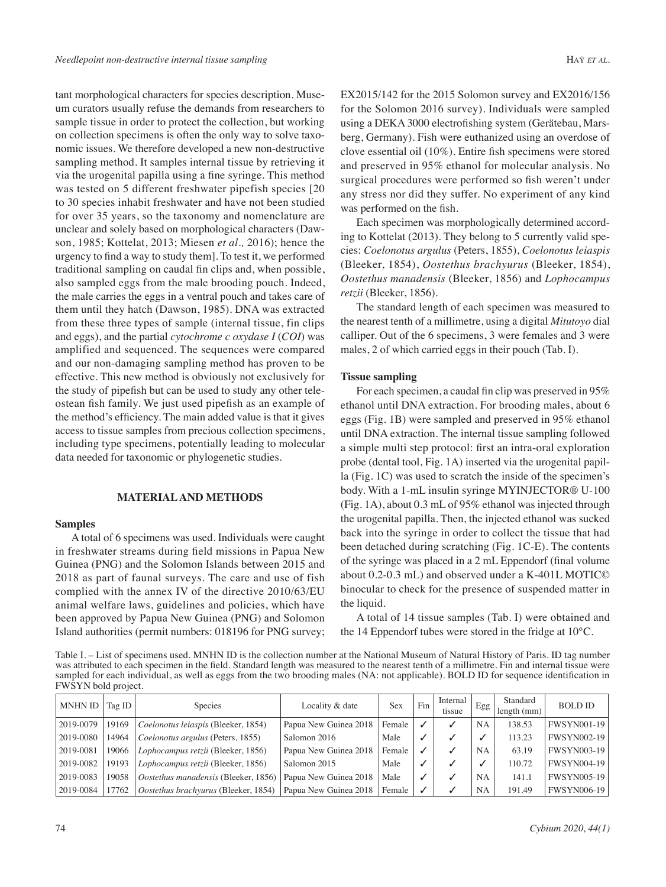tant morphological characters for species description. Museum curators usually refuse the demands from researchers to sample tissue in order to protect the collection, but working on collection specimens is often the only way to solve taxonomic issues. We therefore developed a new non-destructive sampling method. It samples internal tissue by retrieving it via the urogenital papilla using a fine syringe. This method was tested on 5 different freshwater pipefish species [20 to 30 species inhabit freshwater and have not been studied for over 35 years, so the taxonomy and nomenclature are unclear and solely based on morphological characters (Dawson, 1985; Kottelat, 2013; Miesen *et al.,* 2016); hence the urgency to find a way to study them]. To test it, we performed traditional sampling on caudal fin clips and, when possible, also sampled eggs from the male brooding pouch. Indeed, the male carries the eggs in a ventral pouch and takes care of them until they hatch (Dawson, 1985). DNA was extracted from these three types of sample (internal tissue, fin clips and eggs), and the partial *cytochrome c oxydase I* (*COI*) was amplified and sequenced. The sequences were compared and our non-damaging sampling method has proven to be effective. This new method is obviously not exclusively for the study of pipefish but can be used to study any other teleostean fish family. We just used pipefish as an example of the method's efficiency. The main added value is that it gives access to tissue samples from precious collection specimens, including type specimens, potentially leading to molecular data needed for taxonomic or phylogenetic studies.

## **Material and methods**

#### **Samples**

A total of 6 specimens was used. Individuals were caught in freshwater streams during field missions in Papua New Guinea (PNG) and the Solomon Islands between 2015 and 2018 as part of faunal surveys. The care and use of fish complied with the annex IV of the directive 2010/63/EU animal welfare laws, guidelines and policies, which have been approved by Papua New Guinea (PNG) and Solomon Island authorities (permit numbers: 018196 for PNG survey; EX2015/142 for the 2015 Solomon survey and EX2016/156 for the Solomon 2016 survey). Individuals were sampled using a DEKA 3000 electrofishing system (Gerätebau, Marsberg, Germany). Fish were euthanized using an overdose of clove essential oil (10%). Entire fish specimens were stored and preserved in 95% ethanol for molecular analysis. No surgical procedures were performed so fish weren't under any stress nor did they suffer. No experiment of any kind was performed on the fish.

Each specimen was morphologically determined according to Kottelat (2013). They belong to 5 currently valid species: *Coelonotus argulus* (Peters, 1855), *Coelonotus leiaspis*  (Bleeker, 1854), *Oostethus brachyurus* (Bleeker, 1854), *Oostethus manadensis* (Bleeker, 1856) and *Lophocampus retzii* (Bleeker, 1856).

The standard length of each specimen was measured to the nearest tenth of a millimetre, using a digital *Mitutoyo* dial calliper. Out of the 6 specimens, 3 were females and 3 were males, 2 of which carried eggs in their pouch (Tab. I).

#### **Tissue sampling**

For each specimen, a caudal fin clip was preserved in 95% ethanol until DNA extraction. For brooding males, about 6 eggs (Fig. 1B) were sampled and preserved in 95% ethanol until DNA extraction. The internal tissue sampling followed a simple multi step protocol: first an intra-oral exploration probe (dental tool, Fig. 1A) inserted via the urogenital papilla (Fig. 1C) was used to scratch the inside of the specimen's body. With a 1-mL insulin syringe MYINJECTOR® U-100 (Fig. 1A), about 0.3 mL of 95% ethanol was injected through the urogenital papilla. Then, the injected ethanol was sucked back into the syringe in order to collect the tissue that had been detached during scratching (Fig. 1C-E). The contents of the syringe was placed in a 2 mL Eppendorf (final volume about 0.2-0.3 mL) and observed under a K-401L MOTIC© binocular to check for the presence of suspended matter in the liquid.

A total of 14 tissue samples (Tab. I) were obtained and the 14 Eppendorf tubes were stored in the fridge at 10°C.

Table I. – List of specimens used. MNHN ID is the collection number at the National Museum of Natural History of Paris. ID tag number was attributed to each specimen in the field. Standard length was measured to the nearest tenth of a millimetre. Fin and internal tissue were sampled for each individual, as well as eggs from the two brooding males (NA: not applicable). BOLD ID for sequence identification in FWSYN bold project.

| <b>MNHN ID</b> | Tag ID $\vert$ | Species                              | Locality & date       | Sex    | Fin | Internal<br>tissue | Egg       | Standard<br>length (mm) | <b>BOLD ID</b>     |
|----------------|----------------|--------------------------------------|-----------------------|--------|-----|--------------------|-----------|-------------------------|--------------------|
| 2019-0079      | 19169          | Coelonotus leiaspis (Bleeker, 1854)  | Papua New Guinea 2018 | Female |     |                    | <b>NA</b> | 138.53                  | <b>FWSYN001-19</b> |
| 2019-0080      | 14964          | Coelonotus argulus (Peters, 1855)    | Salomon 2016          | Male   |     |                    |           | 113.23                  | <b>FWSYN002-19</b> |
| 2019-0081      | 19066          | Lophocampus retzii (Bleeker, 1856)   | Papua New Guinea 2018 | Female |     |                    | <b>NA</b> | 63.19                   | <b>FWSYN003-19</b> |
| 2019-0082      | 19193          | Lophocampus retzii (Bleeker, 1856)   | Salomon 2015          | Male   |     |                    |           | 110.72                  | <b>FWSYN004-19</b> |
| 2019-0083      | 19058          | Oostethus manadensis (Bleeker, 1856) | Papua New Guinea 2018 | Male   |     |                    | <b>NA</b> | 141.1                   | <b>FWSYN005-19</b> |
| 2019-0084      | 17762          | Oostethus brachyurus (Bleeker, 1854) | Papua New Guinea 2018 | Female |     |                    | <b>NA</b> | 191.49                  | <b>FWSYN006-19</b> |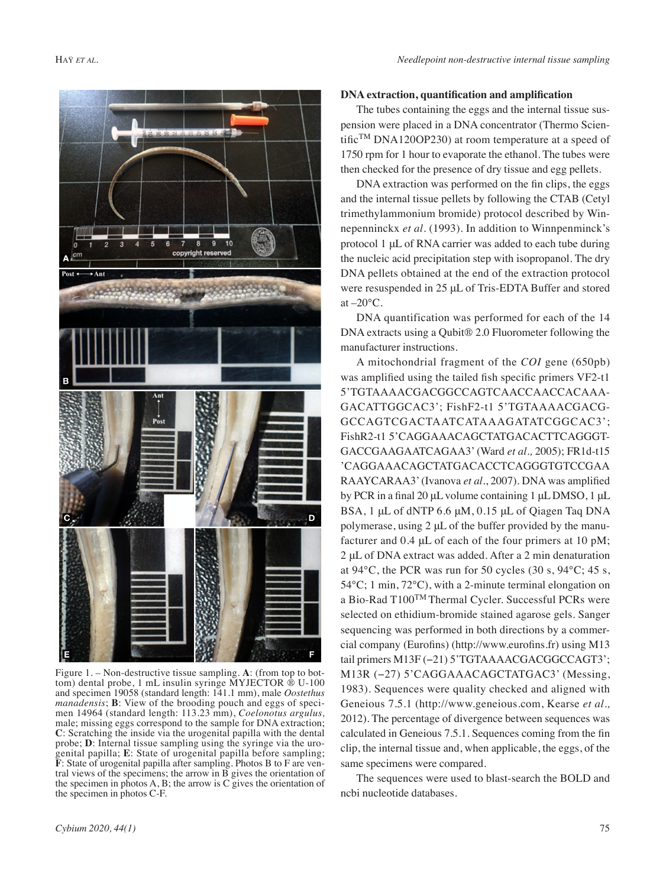

Figure 1. – Non-destructive tissue sampling. **A**: (from top to bottom) dental probe, 1 mL insulin syringe MYJECTOR ® U-100 and specimen 19058 (standard length: 141.1 mm), male *Oostethus manadensis*; **B**: View of the brooding pouch and eggs of specimen 14964 (standard length: 113.23 mm), *Coelonotus argulus,*  male; missing eggs correspond to the sample for DNA extraction; **C**: Scratching the inside via the urogenital papilla with the dental probe; **D**: Internal tissue sampling using the syringe via the urogenital papilla; **E**: State of urogenital papilla before sampling; **F**: State of urogenital papilla after sampling. Photos B to F are ventral views of the specimens; the arrow in B gives the orientation of the specimen in photos  $A, B$ ; the arrow is  $C$  gives the orientation of the specimen in photos C-F.

### **DNA extraction, quantification and amplification**

The tubes containing the eggs and the internal tissue suspension were placed in a DNA concentrator (Thermo Scientific<sup>TM</sup> DNA120OP230) at room temperature at a speed of 1750 rpm for 1 hour to evaporate the ethanol. The tubes were then checked for the presence of dry tissue and egg pellets.

DNA extraction was performed on the fin clips, the eggs and the internal tissue pellets by following the CTAB (Cetyl trimethylammonium bromide) protocol described by Winnepenninckx *et al.* (1993). In addition to Winnpenminck's protocol 1 μL of RNA carrier was added to each tube during the nucleic acid precipitation step with isopropanol. The dry DNA pellets obtained at the end of the extraction protocol were resuspended in 25 μL of Tris-EDTA Buffer and stored at  $-20$ °C.

DNA quantification was performed for each of the 14 DNA extracts using a Qubit® 2.0 Fluorometer following the manufacturer instructions.

A mitochondrial fragment of the *COI* gene (650pb) was amplified using the tailed fish specific primers VF2-t1 5'TGTAAAACGACGGCCAGTCAACCAACCACAAA-GACATTGGCAC3'; FishF2-t1 5'TGTAAAACGACG-GCCAGTCGACTAATCATAAAGATATCGGCAC3'; FishR2-t1 5'CAGGAAACAGCTATGACACTTCAGGGT-GACCGAAGAATCAGAA3' (Ward *et al.,* 2005); FR1d-t15 'CAGGAAACAGCTATGACACCTCAGGGTGTCCGAA RAAYCARAA3' (Ivanova *et al*., 2007). DNA was amplified by PCR in a final 20 μL volume containing 1 μL DMSO, 1 μL BSA, 1 μL of dNTP 6.6 μM, 0.15 μL of Qiagen Taq DNA polymerase, using 2 μL of the buffer provided by the manufacturer and 0.4 μL of each of the four primers at 10 pM; 2 μL of DNA extract was added. After a 2 min denaturation at 94°C, the PCR was run for 50 cycles (30 s, 94°C; 45 s, 54°C; 1 min, 72°C), with a 2-minute terminal elongation on a Bio-Rad T100TM Thermal Cycler. Successful PCRs were selected on ethidium-bromide stained agarose gels. Sanger sequencing was performed in both directions by a commercial company (Eurofins) (http://www.eurofins.fr) using M13 tail primers M13F (−21) 5'TGTAAAACGACGGCCAGT3'; M13R (−27) 5'CAGGAAACAGCTATGAC3' (Messing, 1983). Sequences were quality checked and aligned with Geneious 7.5.1 (http://www.geneious.com, Kearse *et al.,*  2012). The percentage of divergence between sequences was calculated in Geneious 7.5.1. Sequences coming from the fin clip, the internal tissue and, when applicable, the eggs, of the same specimens were compared.

The sequences were used to blast-search the BOLD and ncbi nucleotide databases.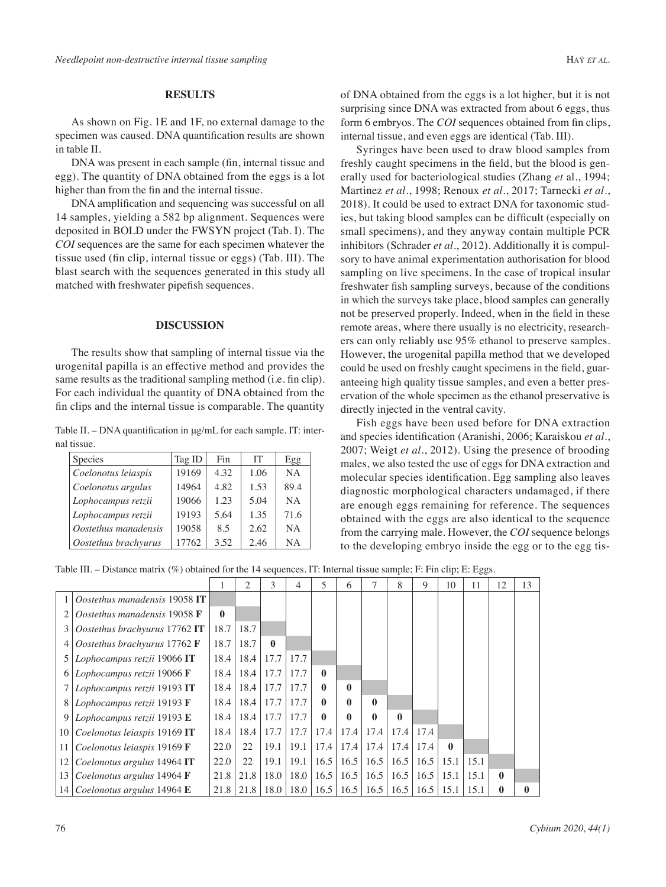## **Results**

As shown on Fig. 1E and 1F, no external damage to the specimen was caused. DNA quantification results are shown in table II.

DNA was present in each sample (fin, internal tissue and egg). The quantity of DNA obtained from the eggs is a lot higher than from the fin and the internal tissue.

DNA amplification and sequencing was successful on all 14 samples, yielding a 582 bp alignment. Sequences were deposited in BOLD under the FWSYN project (Tab. I). The *COI* sequences are the same for each specimen whatever the tissue used (fin clip, internal tissue or eggs) (Tab. III). The blast search with the sequences generated in this study all matched with freshwater pipefish sequences.

#### **Discussion**

The results show that sampling of internal tissue via the urogenital papilla is an effective method and provides the same results as the traditional sampling method (i.e. fin clip). For each individual the quantity of DNA obtained from the fin clips and the internal tissue is comparable. The quantity

Table II. – DNA quantification in μg/mL for each sample. IT: internal tissue.

| <b>Species</b>       | Tag ID | Fin  | <b>IT</b> | Egg       |
|----------------------|--------|------|-----------|-----------|
| Coelonotus leiaspis  | 19169  | 4.32 | 1.06      | <b>NA</b> |
| Coelonotus argulus   | 14964  | 4.82 | 1.53      | 89.4      |
| Lophocampus retzii   | 19066  | 1.23 | 5.04      | NA        |
| Lophocampus retzii   | 19193  | 5.64 | 1.35      | 71.6      |
| Oostethus manadensis | 19058  | 8.5  | 2.62      | <b>NA</b> |
| Oostethus brachyurus | 17762  | 3.52 | 2.46      | <b>NA</b> |

of DNA obtained from the eggs is a lot higher, but it is not surprising since DNA was extracted from about 6 eggs, thus form 6 embryos. The *COI* sequences obtained from fin clips, internal tissue, and even eggs are identical (Tab. III).

Syringes have been used to draw blood samples from freshly caught specimens in the field, but the blood is generally used for bacteriological studies (Zhang *et* al., 1994; Martinez *et al*., 1998; Renoux *et al*., 2017; Tarnecki *et al*., 2018). It could be used to extract DNA for taxonomic studies, but taking blood samples can be difficult (especially on small specimens), and they anyway contain multiple PCR inhibitors (Schrader *et al.*, 2012). Additionally it is compulsory to have animal experimentation authorisation for blood sampling on live specimens. In the case of tropical insular freshwater fish sampling surveys, because of the conditions in which the surveys take place, blood samples can generally not be preserved properly. Indeed, when in the field in these remote areas, where there usually is no electricity, researchers can only reliably use 95% ethanol to preserve samples. However, the urogenital papilla method that we developed could be used on freshly caught specimens in the field, guaranteeing high quality tissue samples, and even a better preservation of the whole specimen as the ethanol preservative is directly injected in the ventral cavity.

Fish eggs have been used before for DNA extraction and species identification (Aranishi, 2006; Karaiskou *et al.*, 2007; Weigt *et al.*, 2012). Using the presence of brooding males, we also tested the use of eggs for DNA extraction and molecular species identification. Egg sampling also leaves diagnostic morphological characters undamaged, if there are enough eggs remaining for reference. The sequences obtained with the eggs are also identical to the sequence from the carrying male. However, the *COI* sequence belongs to the developing embryo inside the egg or to the egg tis-

Table III. – Distance matrix (%) obtained for the 14 sequences. IT: Internal tissue sample; F: Fin clip; E: Eggs.

|                 |                                        |      | 2            | 3            | 4            | 5            | 6             |          | 8            | 9    | 10           | 11   | 12           | 13 |
|-----------------|----------------------------------------|------|--------------|--------------|--------------|--------------|---------------|----------|--------------|------|--------------|------|--------------|----|
|                 | Oostethus manadensis 19058 IT          |      |              |              |              |              |               |          |              |      |              |      |              |    |
|                 | Oostethus manadensis 19058 F           |      |              |              |              |              |               |          |              |      |              |      |              |    |
| 3               | Oostethus brachyurus 17762 IT          | 18.7 | 18.7         |              |              |              |               |          |              |      |              |      |              |    |
|                 | Oostethus brachyurus 17762 F           |      | 18.7         | $\mathbf{0}$ |              |              |               |          |              |      |              |      |              |    |
|                 | Lophocampus retzii 19066 IT            |      | 18.4<br>18.4 | 17.7         | 17.7         |              |               |          |              |      |              |      |              |    |
|                 | Lophocampus retzii 19066 F             |      | 18.4<br>18.4 | 17.7         | 17.7         | $\mathbf{0}$ |               |          |              |      |              |      |              |    |
|                 | Lophocampus retzii 19193 IT            |      | 18.4<br>18.4 | 17.7         | 17.7         | 0            | $\mathbf{0}$  |          |              |      |              |      |              |    |
| 8               | Lophocampus retzii 19193 F             |      | 18.4<br>18.4 | 17.7         | 17.7         | 0            | 0             | $\theta$ |              |      |              |      |              |    |
| 9               | Lophocampus retzii 19193 E             |      | 18.4<br>18.4 | 17.7         | 17.7         | 0            | 0             | 0        | $\mathbf{0}$ |      |              |      |              |    |
| 10 <sup>1</sup> | Coelonotus leiaspis 19169 IT           | 18.4 | 18.4         | 17.7         | 17.7         | 17.4         | 17.4          | 17.4     | 17.4         | 17.4 |              |      |              |    |
| 11 I            | Coelonotus leiaspis 19169 F            | 22.0 | 22           | 19.1         | 19.1         | 17.4         | 17.4          | 17.4     | 17.4         | 17.4 | $\mathbf{0}$ |      |              |    |
| 12              | Coelonotus argulus 14964 IT            | 22.0 | 22           | 19.1         | 19.1         |              | $16.5$   16.5 | 16.5     | 16.5         | 16.5 | 15.1         | 15.1 |              |    |
| 13              | Coelonotus argulus 14964 $\bf{F}$      | 21.8 | 21.8         | 18.0         | $\vert$ 18.0 |              | $16.5$   16.5 | 16.5     | 16.5         | 16.5 | 15.1         | 15.1 | $\mathbf{0}$ |    |
|                 | 14   Coelonotus argulus 14964 $\bf{E}$ | 21.8 | 21.8         | 18.0         | 18.0         | 16.5         | 16.5          | 16.5     | 16.5         | 16.5 | 15.1         | 15.1 | 0            |    |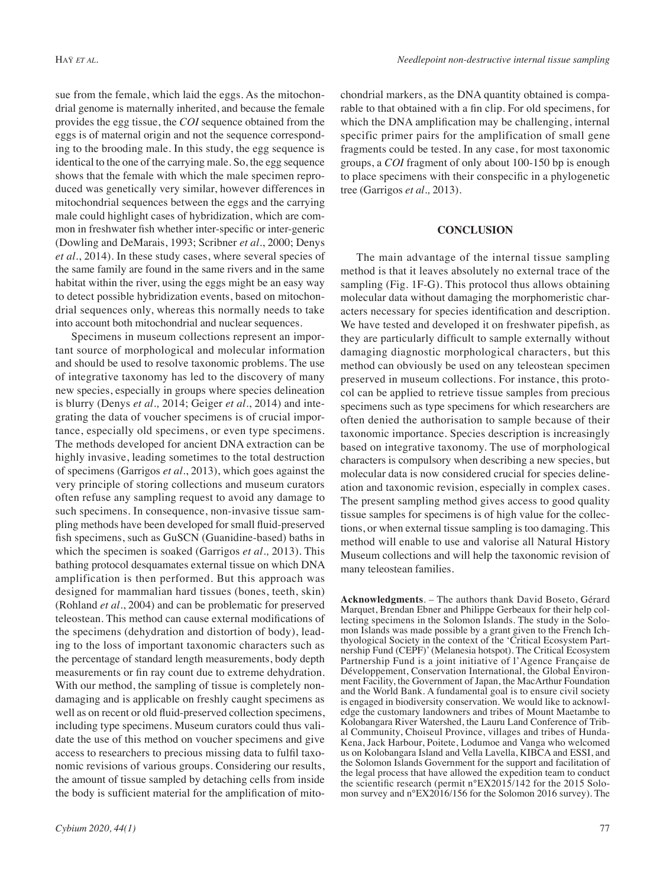sue from the female, which laid the eggs. As the mitochondrial genome is maternally inherited, and because the female provides the egg tissue, the *COI* sequence obtained from the eggs is of maternal origin and not the sequence corresponding to the brooding male. In this study, the egg sequence is identical to the one of the carrying male. So, the egg sequence shows that the female with which the male specimen reproduced was genetically very similar, however differences in mitochondrial sequences between the eggs and the carrying male could highlight cases of hybridization, which are common in freshwater fish whether inter-specific or inter-generic (Dowling and DeMarais, 1993; Scribner *et al*., 2000; Denys *et al*., 2014). In these study cases, where several species of the same family are found in the same rivers and in the same habitat within the river, using the eggs might be an easy way to detect possible hybridization events, based on mitochondrial sequences only, whereas this normally needs to take into account both mitochondrial and nuclear sequences.

Specimens in museum collections represent an important source of morphological and molecular information and should be used to resolve taxonomic problems. The use of integrative taxonomy has led to the discovery of many new species, especially in groups where species delineation is blurry (Denys *et al.,* 2014; Geiger *et al*., 2014) and integrating the data of voucher specimens is of crucial importance, especially old specimens, or even type specimens. The methods developed for ancient DNA extraction can be highly invasive, leading sometimes to the total destruction of specimens (Garrigos *et al.*, 2013), which goes against the very principle of storing collections and museum curators often refuse any sampling request to avoid any damage to such specimens. In consequence, non-invasive tissue sampling methods have been developed for small fluid-preserved fish specimens, such as GuSCN (Guanidine-based) baths in which the specimen is soaked (Garrigos *et al.,* 2013). This bathing protocol desquamates external tissue on which DNA amplification is then performed. But this approach was designed for mammalian hard tissues (bones, teeth, skin) (Rohland *et al*., 2004) and can be problematic for preserved teleostean. This method can cause external modifications of the specimens (dehydration and distortion of body), leading to the loss of important taxonomic characters such as the percentage of standard length measurements, body depth measurements or fin ray count due to extreme dehydration. With our method, the sampling of tissue is completely nondamaging and is applicable on freshly caught specimens as well as on recent or old fluid-preserved collection specimens, including type specimens. Museum curators could thus validate the use of this method on voucher specimens and give access to researchers to precious missing data to fulfil taxonomic revisions of various groups. Considering our results, the amount of tissue sampled by detaching cells from inside the body is sufficient material for the amplification of mitochondrial markers, as the DNA quantity obtained is comparable to that obtained with a fin clip. For old specimens, for which the DNA amplification may be challenging, internal specific primer pairs for the amplification of small gene fragments could be tested. In any case, for most taxonomic groups, a *COI* fragment of only about 100-150 bp is enough to place specimens with their conspecific in a phylogenetic tree (Garrigos *et al.,* 2013).

#### **Conclusion**

The main advantage of the internal tissue sampling method is that it leaves absolutely no external trace of the sampling (Fig. 1F-G). This protocol thus allows obtaining molecular data without damaging the morphomeristic characters necessary for species identification and description. We have tested and developed it on freshwater pipefish, as they are particularly difficult to sample externally without damaging diagnostic morphological characters, but this method can obviously be used on any teleostean specimen preserved in museum collections. For instance, this protocol can be applied to retrieve tissue samples from precious specimens such as type specimens for which researchers are often denied the authorisation to sample because of their taxonomic importance. Species description is increasingly based on integrative taxonomy. The use of morphological characters is compulsory when describing a new species, but molecular data is now considered crucial for species delineation and taxonomic revision, especially in complex cases. The present sampling method gives access to good quality tissue samples for specimens is of high value for the collections, or when external tissue sampling is too damaging. This method will enable to use and valorise all Natural History Museum collections and will help the taxonomic revision of many teleostean families.

**Acknowledgments**. – The authors thank David Boseto, Gérard Marquet, Brendan Ebner and Philippe Gerbeaux for their help collecting specimens in the Solomon Islands. The study in the Solomon Islands was made possible by a grant given to the French Ichthyological Society in the context of the 'Critical Ecosystem Partnership Fund (CEPF)' (Melanesia hotspot). The Critical Ecosystem Partnership Fund is a joint initiative of l'Agence Française de Développement, Conservation International, the Global Environment Facility, the Government of Japan, the MacArthur Foundation and the World Bank. A fundamental goal is to ensure civil society is engaged in biodiversity conservation. We would like to acknowledge the customary landowners and tribes of Mount Maetambe to Kolobangara River Watershed, the Lauru Land Conference of Tribal Community, Choiseul Province, villages and tribes of Hunda-Kena, Jack Harbour, Poitete, Lodumoe and Vanga who welcomed us on Kolobangara Island and Vella Lavella, KIBCA and ESSI, and the Solomon Islands Government for the support and facilitation of the legal process that have allowed the expedition team to conduct the scientific research (permit n°EX2015/142 for the 2015 Solomon survey and n°EX2016/156 for the Solomon 2016 survey). The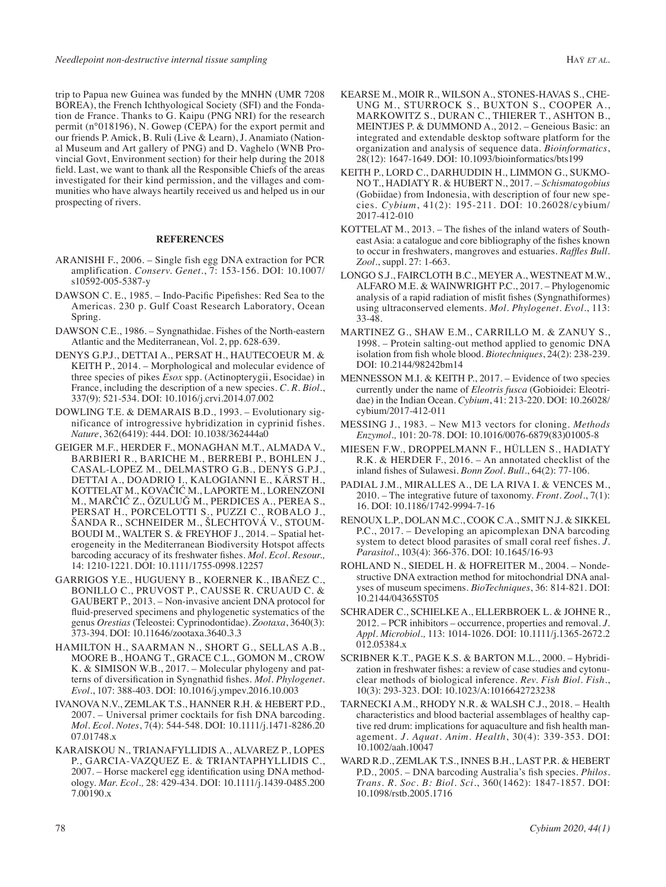trip to Papua new Guinea was funded by the MNHN (UMR 7208 BOREA), the French Ichthyological Society (SFI) and the Fondation de France. Thanks to G. Kaipu (PNG NRI) for the research permit (n°018196), N. Gowep (CEPA) for the export permit and our friends P. Amick, B. Ruli (Live & Learn), J. Anamiato (National Museum and Art gallery of PNG) and D. Vaghelo (WNB Provincial Govt, Environment section) for their help during the 2018 field. Last, we want to thank all the Responsible Chiefs of the areas investigated for their kind permission, and the villages and communities who have always heartily received us and helped us in our prospecting of rivers.

#### **References**

- ARANISHI F., 2006. Single fish egg DNA extraction for PCR amplification. *Conserv. Genet.*, 7: 153-156. DOI: 10.1007/ s10592-005-5387-y
- DAWSON C. E., 1985. Indo-Pacific Pipefishes: Red Sea to the Americas. 230 p. Gulf Coast Research Laboratory, Ocean Spring.
- DAWSON C.E., 1986. Syngnathidae. Fishes of the North-eastern Atlantic and the Mediterranean, Vol. 2, pp. 628-639.
- DENYS G.P.J., DETTAI A., PERSAT H., HAUTECOEUR M. & KEITH P., 2014. – Morphological and molecular evidence of three species of pikes *Esox* spp. (Actinopterygii, Esocidae) in France, including the description of a new species. *C. R. Biol.*, 337(9): 521-534. DOI: 10.1016/j.crvi.2014.07.002
- DOWLING T.E. & DEMARAIS B.D., 1993. Evolutionary significance of introgressive hybridization in cyprinid fishes. *Nature*, 362(6419): 444. DOI: 10.1038/362444a0
- GEIGER M.F., HERDER F., MONAGHAN M.T., ALMADA V., BARBIERI R., BARICHE M., BERREBI P., BOHLEN J., CASAL-LOPEZ M., DELMASTRO G.B., DENYS G.P.J., DETTAI A., DOADRIO I., KALOGIANNI E., KÄRST H., KOTTELAT M., KOVAČIĆ M., LAPORTE M., LORENZONI M., MARČIĆ Z., ÖZULUĞ M., PERDICES A., PEREA S., PERSAT H., PORCELOTTI S., PUZZI C., ROBALO J., ŠANDA R., SCHNEIDER M., ŠLECHTOVÁ V., STOUM-BOUDI M., WALTER S. & FREYHOF J., 2014. – Spatial heterogeneity in the Mediterranean Biodiversity Hotspot affects barcoding accuracy of its freshwater fishes. *Mol. Ecol. Resour.,* 14: 1210-1221. DOI: 10.1111/1755-0998.12257
- GARRIGOS Y.E., HUGUENY B., KOERNER K., IBAÑEZ C., BONILLO C., PRUVOST P., CAUSSE R. CRUAUD C. & GAUBERT P., 2013. – Non-invasive ancient DNA protocol for fluid-preserved specimens and phylogenetic systematics of the genus *Orestias* (Teleostei: Cyprinodontidae). *Zootaxa*, 3640(3): 373-394. DOI: 10.11646/zootaxa.3640.3.3
- HAMILTON H., SAARMAN N., SHORT G., SELLAS A.B., MOORE B., HOANG T., GRACE C.L., GOMON M., CROW K. & SIMISON W.B., 2017. – Molecular phylogeny and patterns of diversification in Syngnathid fishes. *Mol. Phylogenet. Evol.*, 107: 388-403. DOI: 10.1016/j.ympev.2016.10.003
- IVANOVA N.V., ZEMLAK T.S., HANNER R.H. & HEBERT P.D., 2007. – Universal primer cocktails for fish DNA barcoding. *Mol. Ecol. Notes*, 7(4): 544-548. DOI: 10.1111/j.1471-8286.20 07.01748.x
- KARAISKOU N., TRIANAFYLLIDIS A., ALVAREZ P., LOPES P., GARCIA-VAZQUEZ E. & TRIANTAPHYLLIDIS C., 2007. – Horse mackerel egg identification using DNA methodology. *Mar. Ecol.,* 28: 429-434. DOI: 10.1111/j.1439-0485.200 7.00190.x
- KEARSE M., MOIR R., WILSON A., STONES-HAVAS S., CHE-UNG M., STURROCK S., BUXTON S., COOPER A., MARKOWITZ S., DURAN C., THIERER T., ASHTON B., MEINTJES P. & DUMMOND A., 2012. – Geneious Basic: an integrated and extendable desktop software platform for the organization and analysis of sequence data. *Bioinformatics*, 28(12): 1647-1649. DOI: 10.1093/bioinformatics/bts199
- KEITH P., LORD C., DARHUDDIN H., LIMMON G., SUKMO-NO T., HADIATY R. & HUBERT N., 2017. – *Schismatogobius* (Gobiidae) from Indonesia, with description of four new species. *Cybium*, 41(2): 195-211. DOI: 10.26028/cybium/ 2017-412-010
- KOTTELAT M., 2013. The fishes of the inland waters of Southeast Asia: a catalogue and core bibliography of the fishes known to occur in freshwaters, mangroves and estuaries. *Raffles Bull. Zool.*, suppl. 27: 1-663.
- LONGO S.J., FAIRCLOTH B.C., MEYER A., WESTNEAT M.W., ALFARO M.E. & WAINWRIGHT P.C., 2017. – Phylogenomic analysis of a rapid radiation of misfit fishes (Syngnathiformes) using ultraconserved elements. *Mol. Phylogenet. Evol.*, 113: 33-48.
- MARTINEZ G., SHAW E.M., CARRILLO M. & ZANUY S., 1998. – Protein salting-out method applied to genomic DNA isolation from fish whole blood. *Biotechniques*, 24(2): 238-239. DOI: 10.2144/98242bm14
- MENNESSON M.I. & KEITH P., 2017. Evidence of two species currently under the name of *Eleotris fusca* (Gobioidei: Eleotridae) in the Indian Ocean. *Cybium*, 41: 213-220. DOI: 10.26028/ cybium/2017-412-011
- MESSING J., 1983. New M13 vectors for cloning. *Methods Enzymol.,* 101: 20-78. DOI: 10.1016/0076-6879(83)01005-8
- MIESEN F.W., DROPPELMANN F., HÜLLEN S., HADIATY R.K. & HERDER F., 2016. – An annotated checklist of the inland fishes of Sulawesi. *Bonn Zool. Bull.*, 64(2): 77-106.
- PADIAL J.M., MIRALLES A., DE LA RIVA I. & VENCES M., 2010. – The integrative future of taxonomy. *Front. Zool.*, 7(1): 16. DOI: 10.1186/1742-9994-7-16
- RENOUX L.P., DOLAN M.C., COOK C.A., SMIT N.J. & SIKKEL P.C., 2017. – Developing an apicomplexan DNA barcoding system to detect blood parasites of small coral reef fishes. *J. Parasitol.*, 103(4): 366-376. DOI: 10.1645/16-93
- ROHLAND N., SIEDEL H. & HOFREITER M., 2004. Nondestructive DNA extraction method for mitochondrial DNA analyses of museum specimens. *BioTechniques*, 36: 814-821. DOI: 10.2144/04365ST05
- SCHRADER C., SCHIELKE A., ELLERBROEK L. & JOHNE R., 2012. – PCR inhibitors – occurrence, properties and removal. *J. Appl. Microbiol.,* 113: 1014-1026. DOI: 10.1111/j.1365-2672.2 012.05384.x
- SCRIBNER K.T., PAGE K.S. & BARTON M.L., 2000. Hybridization in freshwater fishes: a review of case studies and cytonuclear methods of biological inference. *Rev. Fish Biol. Fish.*, 10(3): 293-323. DOI: 10.1023/A:1016642723238
- TARNECKI A.M., RHODY N.R. & WALSH C.J., 2018. Health characteristics and blood bacterial assemblages of healthy captive red drum: implications for aquaculture and fish health management. *J. Aquat. Anim. Health*, 30(4): 339-353. DOI: 10.1002/aah.10047
- WARD R.D., ZEMLAK T.S., INNES B.H., LAST P.R. & HEBERT P.D., 2005. – DNA barcoding Australia's fish species. *Philos. Trans. R. Soc. B: Biol. Sci.*, 360(1462): 1847-1857. DOI: 10.1098/rstb.2005.1716